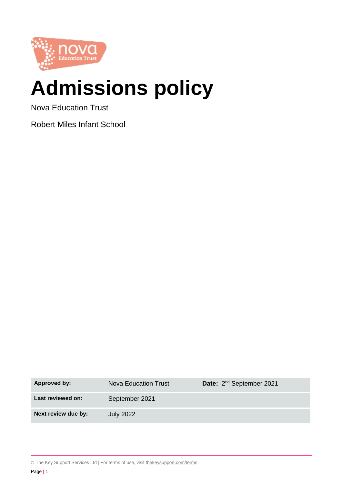

# **Admissions policy**

Nova Education Trust

Robert Miles Infant School

| <b>Approved by:</b> | Nova Education Trust | Date: 2 <sup>nd</sup> September 2021 |
|---------------------|----------------------|--------------------------------------|
| Last reviewed on:   | September 2021       |                                      |
| Next review due by: | <b>July 2022</b>     |                                      |

© The Key Support Services Ltd | For terms of use, visit [thekeysupport.com/terms](https://thekeysupport.com/terms-of-use)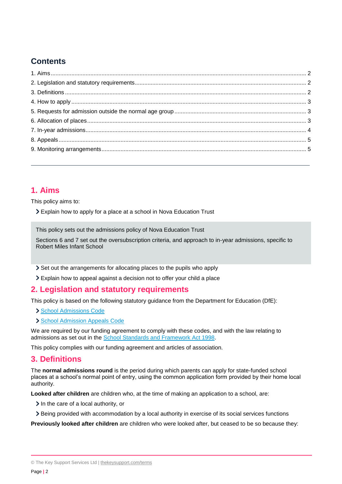# **Contents**

# <span id="page-1-0"></span>**1. Aims**

This policy aims to:

Explain how to apply for a place at a school in Nova Education Trust

This policy sets out the admissions policy of Nova Education Trust

Sections 6 and 7 set out the oversubscription criteria, and approach to in-year admissions, specific to Robert Miles Infant School

Set out the arrangements for allocating places to the pupils who apply

Explain how to appeal against a decision not to offer your child a place

# <span id="page-1-1"></span>**2. Legislation and statutory requirements**

This policy is based on the following statutory guidance from the Department for Education (DfE):

> [School Admissions Code](https://www.gov.uk/government/publications/school-admissions-code--2)

[School Admission Appeals Code](https://www.gov.uk/government/publications/school-admissions-appeals-code)

We are required by our funding agreement to comply with these codes, and with the law relating to admissions as set out in the [School Standards and Framework Act 1998.](http://www.legislation.gov.uk/ukpga/1998/31/contents)

This policy complies with our funding agreement and articles of association.

# <span id="page-1-2"></span>**3. Definitions**

The **normal admissions round** is the period during which parents can apply for state-funded school places at a school's normal point of entry, using the common application form provided by their home local authority.

**Looked after children** are children who, at the time of making an application to a school, are:

 $\geq$  In the care of a local authority, or

Being provided with accommodation by a local authority in exercise of its social services functions

**Previously looked after children** are children who were looked after, but ceased to be so because they:

<sup>©</sup> The Key Support Services Ltd | [thekeysupport.com/terms](https://thekeysupport.com/terms-of-use)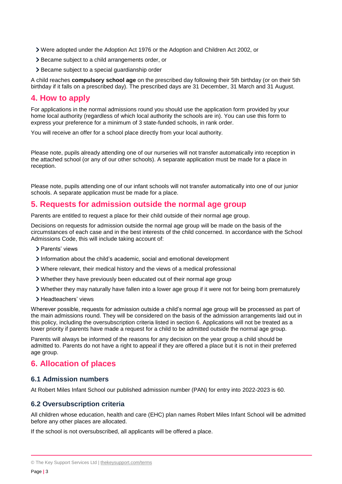- Were adopted under the Adoption Act 1976 or the Adoption and Children Act 2002, or
- Became subject to a child arrangements order, or
- > Became subject to a special guardianship order

A child reaches **compulsory school age** on the prescribed day following their 5th birthday (or on their 5th birthday if it falls on a prescribed day). The prescribed days are 31 December, 31 March and 31 August.

## <span id="page-2-0"></span>**4. How to apply**

For applications in the normal admissions round you should use the application form provided by your home local authority (regardless of which local authority the schools are in). You can use this form to express your preference for a minimum of 3 state-funded schools, in rank order.

You will receive an offer for a school place directly from your local authority.

Please note, pupils already attending one of our nurseries will not transfer automatically into reception in the attached school (or any of our other schools). A separate application must be made for a place in reception.

Please note, pupils attending one of our infant schools will not transfer automatically into one of our junior schools. A separate application must be made for a place.

# <span id="page-2-1"></span>**5. Requests for admission outside the normal age group**

Parents are entitled to request a place for their child outside of their normal age group.

Decisions on requests for admission outside the normal age group will be made on the basis of the circumstances of each case and in the best interests of the child concerned. In accordance with the School Admissions Code, this will include taking account of:

- > Parents' views
- Information about the child's academic, social and emotional development
- Where relevant, their medical history and the views of a medical professional
- Whether they have previously been educated out of their normal age group
- Whether they may naturally have fallen into a lower age group if it were not for being born prematurely
- > Headteachers' views

Wherever possible, requests for admission outside a child's normal age group will be processed as part of the main admissions round. They will be considered on the basis of the admission arrangements laid out in this policy, including the oversubscription criteria listed in section 6. Applications will not be treated as a lower priority if parents have made a request for a child to be admitted outside the normal age group.

Parents will always be informed of the reasons for any decision on the year group a child should be admitted to. Parents do not have a right to appeal if they are offered a place but it is not in their preferred age group.

## <span id="page-2-2"></span>**6. Allocation of places**

#### **6.1 Admission numbers**

At Robert Miles Infant School our published admission number (PAN) for entry into 2022-2023 is 60.

#### **6.2 Oversubscription criteria**

All children whose education, health and care (EHC) plan names Robert Miles Infant School will be admitted before any other places are allocated.

If the school is not oversubscribed, all applicants will be offered a place.

<sup>©</sup> The Key Support Services Ltd | [thekeysupport.com/terms](https://thekeysupport.com/terms-of-use)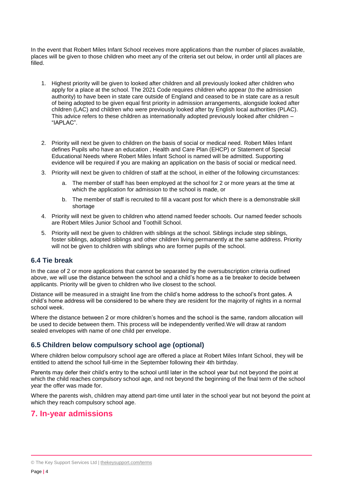In the event that Robert Miles Infant School receives more applications than the number of places available, places will be given to those children who meet any of the criteria set out below, in order until all places are filled.

- 1. Highest priority will be given to looked after children and all previously looked after children who apply for a place at the school. The 2021 Code requires children who appear (to the admission authority) to have been in state care outside of England and ceased to be in state care as a result of being adopted to be given equal first priority in admission arrangements, alongside looked after children (LAC) and children who were previously looked after by English local authorities (PLAC). This advice refers to these children as internationally adopted previously looked after children – "IAPLAC".
- 2. Priority will next be given to children on the basis of social or medical need. Robert Miles Infant defines Pupils who have an education , Health and Care Plan (EHCP) or Statement of Special Educational Needs where Robert Miles Infant School is named will be admitted. Supporting evidence will be required if you are making an application on the basis of social or medical need.
- 3. Priority will next be given to children of staff at the school, in either of the following circumstances:
	- a. The member of staff has been employed at the school for 2 or more years at the time at which the application for admission to the school is made, or
	- b. The member of staff is recruited to fill a vacant post for which there is a demonstrable skill shortage
- 4. Priority will next be given to children who attend named feeder schools. Our named feeder schools are Robert Miles Junior School and Toothill School.
- 5. Priority will next be given to children with siblings at the school. Siblings include step siblings, foster siblings, adopted siblings and other children living permanently at the same address. Priority will not be given to children with siblings who are former pupils of the school.

#### **6.4 Tie break**

In the case of 2 or more applications that cannot be separated by the oversubscription criteria outlined above, we will use the distance between the school and a child's home as a tie breaker to decide between applicants. Priority will be given to children who live closest to the school.

Distance will be measured in a straight line from the child's home address to the school's front gates. A child's home address will be considered to be where they are resident for the majority of nights in a normal school week.

Where the distance between 2 or more children's homes and the school is the same, random allocation will be used to decide between them. This process will be independently verified.We will draw at random sealed envelopes with name of one child per envelope.

## **6.5 Children below compulsory school age (optional)**

Where children below compulsory school age are offered a place at Robert Miles Infant School, they will be entitled to attend the school full-time in the September following their 4th birthday.

Parents may defer their child's entry to the school until later in the school year but not beyond the point at which the child reaches compulsory school age, and not beyond the beginning of the final term of the school year the offer was made for.

Where the parents wish, children may attend part-time until later in the school year but not beyond the point at which they reach compulsory school age.

# <span id="page-3-0"></span>**7. In-year admissions**

<sup>©</sup> The Key Support Services Ltd | [thekeysupport.com/terms](https://thekeysupport.com/terms-of-use)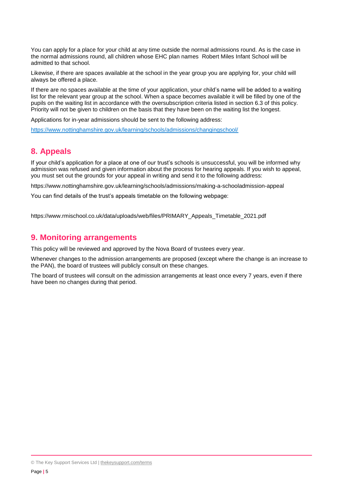You can apply for a place for your child at any time outside the normal admissions round. As is the case in the normal admissions round, all children whose EHC plan names Robert Miles Infant School will be admitted to that school.

Likewise, if there are spaces available at the school in the year group you are applying for, your child will always be offered a place.

If there are no spaces available at the time of your application, your child's name will be added to a waiting list for the relevant year group at the school. When a space becomes available it will be filled by one of the pupils on the waiting list in accordance with the oversubscription criteria listed in section 6.3 of this policy. Priority will not be given to children on the basis that they have been on the waiting list the longest.

Applications for in-year admissions should be sent to the following address:

<https://www.nottinghamshire.gov.uk/learning/schools/admissions/changingschool/>

# <span id="page-4-0"></span>**8. Appeals**

If your child's application for a place at one of our trust's schools is unsuccessful, you will be informed why admission was refused and given information about the process for hearing appeals. If you wish to appeal, you must set out the grounds for your appeal in writing and send it to the following address:

https://www.nottinghamshire.gov.uk/learning/schools/admissions/making-a-schooladmission-appeal

You can find details of the trust's appeals timetable on the following webpage:

https://www.rmischool.co.uk/data/uploads/web/files/PRIMARY\_Appeals\_Timetable\_2021.pdf

#### <span id="page-4-1"></span>**9. Monitoring arrangements**

This policy will be reviewed and approved by the Nova Board of trustees every year.

Whenever changes to the admission arrangements are proposed (except where the change is an increase to the PAN), the board of trustees will publicly consult on these changes.

The board of trustees will consult on the admission arrangements at least once every 7 years, even if there have been no changes during that period.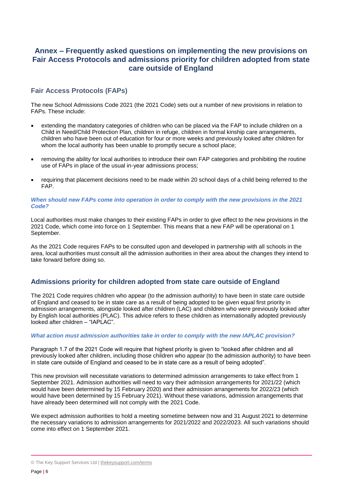## **Annex – Frequently asked questions on implementing the new provisions on Fair Access Protocols and admissions priority for children adopted from state care outside of England**

#### **Fair Access Protocols (FAPs)**

The new School Admissions Code 2021 (the 2021 Code) sets out a number of new provisions in relation to FAPs. These include:

- extending the mandatory categories of children who can be placed via the FAP to include children on a Child in Need/Child Protection Plan, children in refuge, children in formal kinship care arrangements, children who have been out of education for four or more weeks and previously looked after children for whom the local authority has been unable to promptly secure a school place;
- removing the ability for local authorities to introduce their own FAP categories and prohibiting the routine use of FAPs in place of the usual in-year admissions process;
- requiring that placement decisions need to be made within 20 school days of a child being referred to the FAP.

#### *When should new FAPs come into operation in order to comply with the new provisions in the 2021 Code?*

Local authorities must make changes to their existing FAPs in order to give effect to the new provisions in the 2021 Code, which come into force on 1 September. This means that a new FAP will be operational on 1 September.

As the 2021 Code requires FAPs to be consulted upon and developed in partnership with all schools in the area, local authorities must consult all the admission authorities in their area about the changes they intend to take forward before doing so.

## **Admissions priority for children adopted from state care outside of England**

The 2021 Code requires children who appear (to the admission authority) to have been in state care outside of England and ceased to be in state care as a result of being adopted to be given equal first priority in admission arrangements, alongside looked after children (LAC) and children who were previously looked after by English local authorities (PLAC). This advice refers to these children as internationally adopted previously looked after children – "IAPLAC".

#### *What action must admission authorities take in order to comply with the new IAPLAC provision?*

Paragraph 1.7 of the 2021 Code will require that highest priority is given to "looked after children and all previously looked after children, including those children who appear (to the admission authority) to have been in state care outside of England and ceased to be in state care as a result of being adopted".

This new provision will necessitate variations to determined admission arrangements to take effect from 1 September 2021. Admission authorities will need to vary their admission arrangements for 2021/22 (which would have been determined by 15 February 2020) and their admission arrangements for 2022/23 (which would have been determined by 15 February 2021). Without these variations, admission arrangements that have already been determined will not comply with the 2021 Code.

We expect admission authorities to hold a meeting sometime between now and 31 August 2021 to determine the necessary variations to admission arrangements for 2021/2022 and 2022/2023. All such variations should come into effect on 1 September 2021.

<sup>©</sup> The Key Support Services Ltd | [thekeysupport.com/terms](https://thekeysupport.com/terms-of-use)